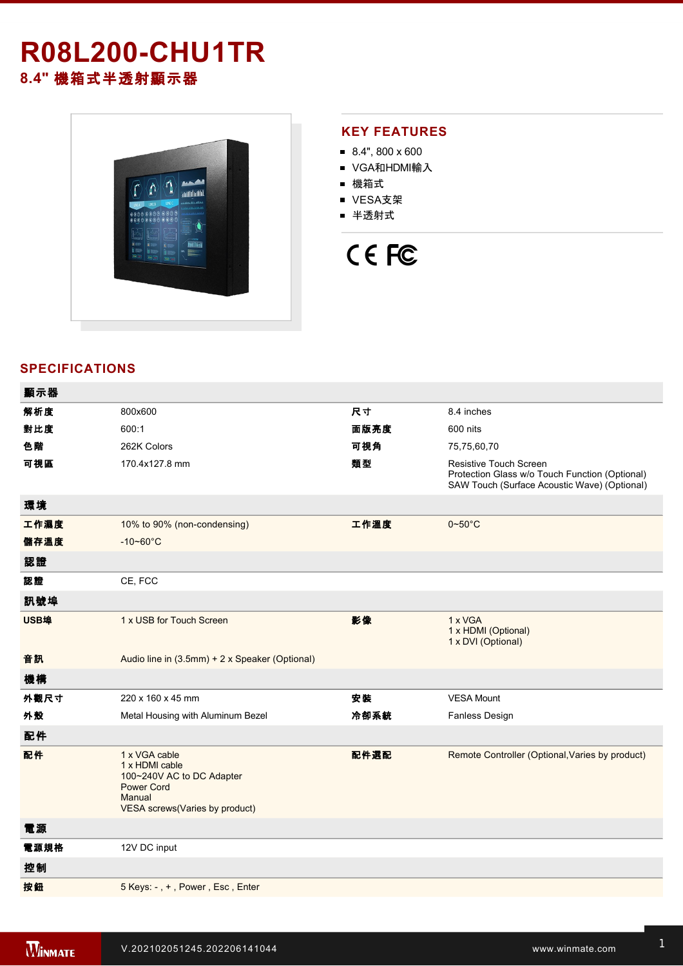# **R08L200-CHU1TR 8.4"** 機箱式半透射顯示器



### **KEY FEATURES**

- $8.4$ ", 800 x 600
- VGA和HDMI輸入
- 機箱式
- VESA支架
- 半透射式

# CE FC

## **SPECIFICATIONS**

| 顯示器  |                                                                                                                               |      |                                                                                                                          |
|------|-------------------------------------------------------------------------------------------------------------------------------|------|--------------------------------------------------------------------------------------------------------------------------|
| 解析度  | 800x600                                                                                                                       | 尺寸   | 8.4 inches                                                                                                               |
| 對比度  | 600:1                                                                                                                         | 面版亮度 | 600 nits                                                                                                                 |
| 色階   | 262K Colors                                                                                                                   | 可視角  | 75,75,60,70                                                                                                              |
| 可視區  | 170.4x127.8 mm                                                                                                                | 類型   | Resistive Touch Screen<br>Protection Glass w/o Touch Function (Optional)<br>SAW Touch (Surface Acoustic Wave) (Optional) |
| 環境   |                                                                                                                               |      |                                                                                                                          |
| 工作濕度 | 10% to 90% (non-condensing)                                                                                                   | 工作溫度 | $0 - 50$ °C                                                                                                              |
| 儲存溫度 | $-10 - 60^{\circ}C$                                                                                                           |      |                                                                                                                          |
| 認證   |                                                                                                                               |      |                                                                                                                          |
| 認證   | CE, FCC                                                                                                                       |      |                                                                                                                          |
| 訊號埠  |                                                                                                                               |      |                                                                                                                          |
| USB埠 | 1 x USB for Touch Screen                                                                                                      | 影像   | 1 x VGA<br>1 x HDMI (Optional)<br>1 x DVI (Optional)                                                                     |
| 音訊   | Audio line in (3.5mm) + 2 x Speaker (Optional)                                                                                |      |                                                                                                                          |
| 機構   |                                                                                                                               |      |                                                                                                                          |
| 外觀尺寸 | 220 x 160 x 45 mm                                                                                                             | 安装   | <b>VESA Mount</b>                                                                                                        |
| 外殼   | Metal Housing with Aluminum Bezel                                                                                             | 冷卻系統 | Fanless Design                                                                                                           |
| 配件   |                                                                                                                               |      |                                                                                                                          |
| 配件   | 1 x VGA cable<br>1 x HDMI cable<br>100~240V AC to DC Adapter<br><b>Power Cord</b><br>Manual<br>VESA screws(Varies by product) | 配件選配 | Remote Controller (Optional, Varies by product)                                                                          |
| 電源   |                                                                                                                               |      |                                                                                                                          |
| 電源規格 | 12V DC input                                                                                                                  |      |                                                                                                                          |
| 控制   |                                                                                                                               |      |                                                                                                                          |
| 按鈕   | 5 Keys: -, +, Power, Esc, Enter                                                                                               |      |                                                                                                                          |
|      |                                                                                                                               |      |                                                                                                                          |

**DIMENSIONS**  UNIT:MM